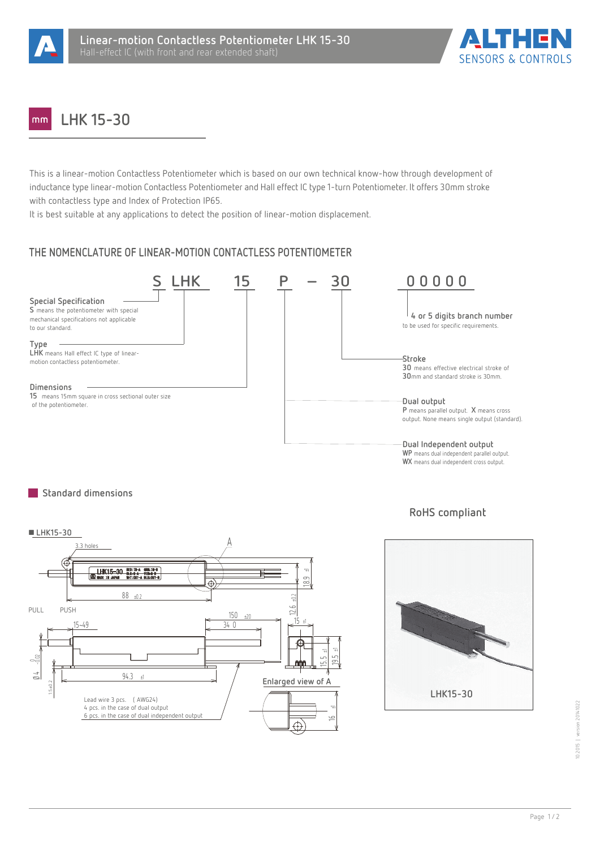



#### **LHK 15-30**  $mm$

This is a linear-motion Contactless Potentiometer which is based on our own technical know-how through development of inductance type linear-motion Contactless Potentiometer and Hall effect IC type 1-turn Potentiometer. It offers 30mm stroke with contactless type and Index of Protection IP65.

It is best suitable at any applications to detect the position of linear-motion displacement.

# **THE NOMENCLATURE OF LINEAR-MOTION CONTACTLESS POTENTIOMETER**



## **Standard dimensions**



## **RoHS compliant**